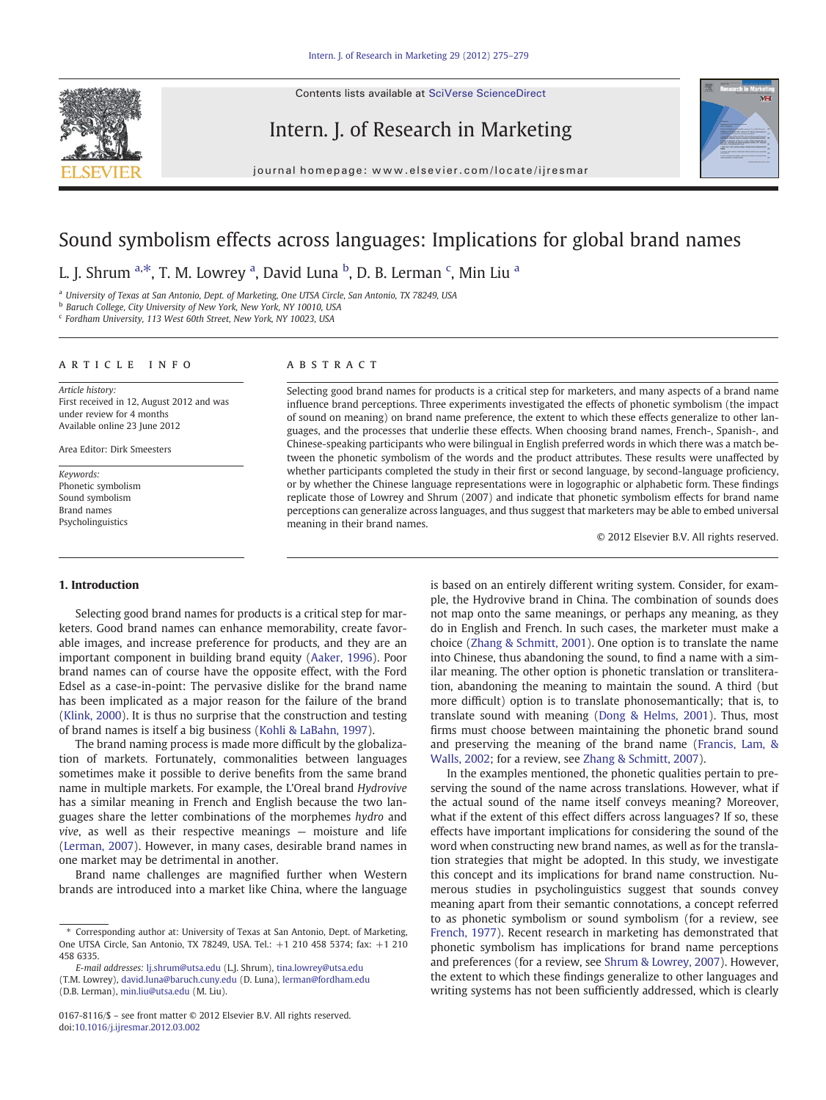Contents lists available at SciVerse ScienceDirect



Intern. J. of Research in Marketing



journal homepage: www.elsevier.com/locate/ijresmar

## Sound symbolism effects across languages: Implications for global brand names

L. J. Shrum <sup>a, $\ast$ </sup>, T. M. Lowrey <sup>a</sup>, David Luna <sup>b</sup>, D. B. Lerman <sup>c</sup>, Min Liu <sup>a</sup>

<sup>a</sup> University of Texas at San Antonio, Dept. of Marketing, One UTSA Circle, San Antonio, TX 78249, USA

b Baruch College, City University of New York, New York, NY 10010, USA

<sup>c</sup> Fordham University, 113 West 60th Street, New York, NY 10023, USA

### article info abstract

Article history: First received in 12, August 2012 and was under review for 4 months Available online 23 June 2012

Area Editor: Dirk Smeesters

Keywords: Phonetic symbolism Sound symbolism Brand names Psycholinguistics

Selecting good brand names for products is a critical step for marketers, and many aspects of a brand name influence brand perceptions. Three experiments investigated the effects of phonetic symbolism (the impact of sound on meaning) on brand name preference, the extent to which these effects generalize to other languages, and the processes that underlie these effects. When choosing brand names, French-, Spanish-, and Chinese-speaking participants who were bilingual in English preferred words in which there was a match between the phonetic symbolism of the words and the product attributes. These results were unaffected by whether participants completed the study in their first or second language, by second-language proficiency, or by whether the Chinese language representations were in logographic or alphabetic form. These findings replicate those of Lowrey and Shrum (2007) and indicate that phonetic symbolism effects for brand name perceptions can generalize across languages, and thus suggest that marketers may be able to embed universal meaning in their brand names.

© 2012 Elsevier B.V. All rights reserved.

#### 1. Introduction

Selecting good brand names for products is a critical step for marketers. Good brand names can enhance memorability, create favorable images, and increase preference for products, and they are an important component in building brand equity [\(Aaker, 1996](#page--1-0)). Poor brand names can of course have the opposite effect, with the Ford Edsel as a case-in-point: The pervasive dislike for the brand name has been implicated as a major reason for the failure of the brand [\(Klink, 2000\)](#page--1-0). It is thus no surprise that the construction and testing of brand names is itself a big business [\(Kohli & LaBahn, 1997](#page--1-0)).

The brand naming process is made more difficult by the globalization of markets. Fortunately, commonalities between languages sometimes make it possible to derive benefits from the same brand name in multiple markets. For example, the L'Oreal brand Hydrovive has a similar meaning in French and English because the two languages share the letter combinations of the morphemes hydro and vive, as well as their respective meanings — moisture and life [\(Lerman, 2007](#page--1-0)). However, in many cases, desirable brand names in one market may be detrimental in another.

Brand name challenges are magnified further when Western brands are introduced into a market like China, where the language

is based on an entirely different writing system. Consider, for example, the Hydrovive brand in China. The combination of sounds does not map onto the same meanings, or perhaps any meaning, as they do in English and French. In such cases, the marketer must make a choice ([Zhang & Schmitt, 2001](#page--1-0)). One option is to translate the name into Chinese, thus abandoning the sound, to find a name with a similar meaning. The other option is phonetic translation or transliteration, abandoning the meaning to maintain the sound. A third (but more difficult) option is to translate phonosemantically; that is, to translate sound with meaning ([Dong & Helms, 2001](#page--1-0)). Thus, most firms must choose between maintaining the phonetic brand sound and preserving the meaning of the brand name [\(Francis, Lam, &](#page--1-0) [Walls, 2002](#page--1-0); for a review, see [Zhang & Schmitt, 2007](#page--1-0)).

In the examples mentioned, the phonetic qualities pertain to preserving the sound of the name across translations. However, what if the actual sound of the name itself conveys meaning? Moreover, what if the extent of this effect differs across languages? If so, these effects have important implications for considering the sound of the word when constructing new brand names, as well as for the translation strategies that might be adopted. In this study, we investigate this concept and its implications for brand name construction. Numerous studies in psycholinguistics suggest that sounds convey meaning apart from their semantic connotations, a concept referred to as phonetic symbolism or sound symbolism (for a review, see [French, 1977](#page--1-0)). Recent research in marketing has demonstrated that phonetic symbolism has implications for brand name perceptions and preferences (for a review, see [Shrum & Lowrey, 2007](#page--1-0)). However, the extent to which these findings generalize to other languages and writing systems has not been sufficiently addressed, which is clearly

<sup>⁎</sup> Corresponding author at: University of Texas at San Antonio, Dept. of Marketing, One UTSA Circle, San Antonio, TX 78249, USA. Tel.: +1 210 458 5374; fax: +1 210 458 6335.

E-mail addresses: [lj.shrum@utsa.edu](mailto:lj.shrum@utsa.edu) (L.J. Shrum), [tina.lowrey@utsa.edu](mailto:tina.lowrey@utsa.edu) (T.M. Lowrey), [david.luna@baruch.cuny.edu](mailto:david.luna@baruch.cuny.edu) (D. Luna), [lerman@fordham.edu](mailto:lerman@fordham.edu) (D.B. Lerman), [min.liu@utsa.edu](mailto:min.liu@utsa.edu) (M. Liu).

<sup>0167-8116/\$</sup> – see front matter © 2012 Elsevier B.V. All rights reserved. doi:[10.1016/j.ijresmar.2012.03.002](http://dx.doi.org/10.1016/j.ijresmar.2012.03.002)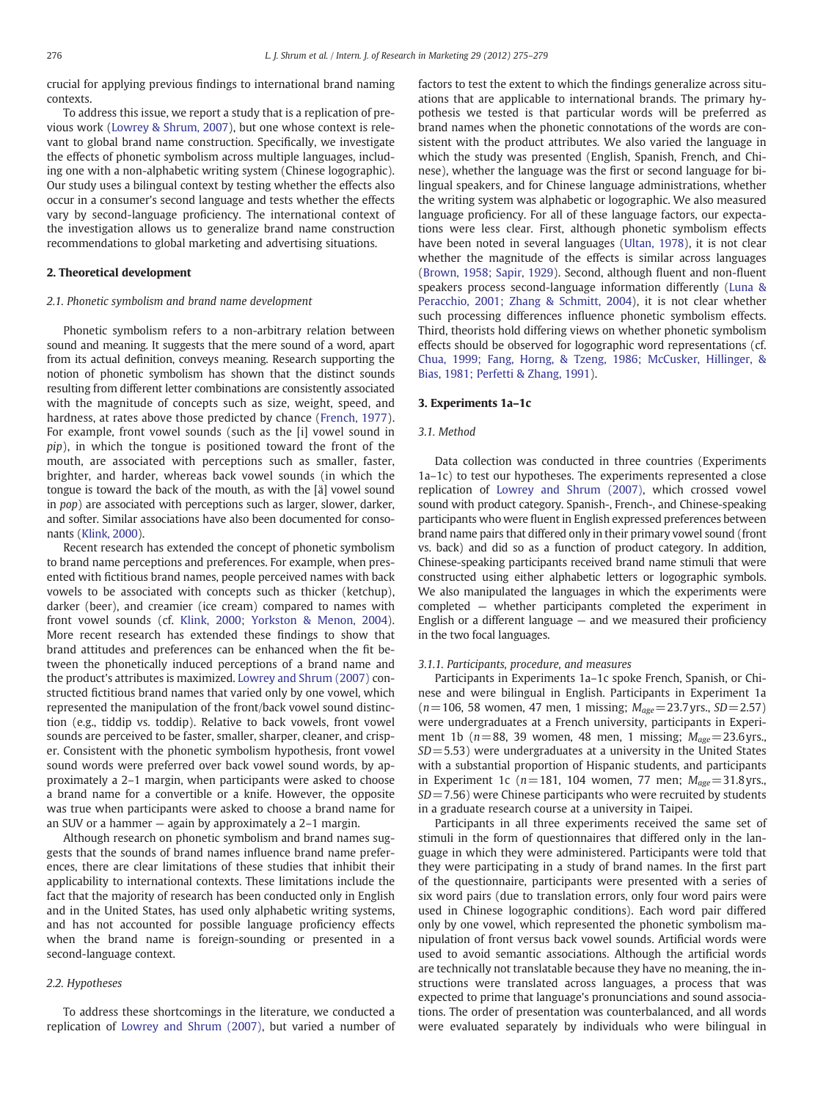crucial for applying previous findings to international brand naming contexts.

To address this issue, we report a study that is a replication of previous work ([Lowrey & Shrum, 2007\)](#page--1-0), but one whose context is relevant to global brand name construction. Specifically, we investigate the effects of phonetic symbolism across multiple languages, including one with a non-alphabetic writing system (Chinese logographic). Our study uses a bilingual context by testing whether the effects also occur in a consumer's second language and tests whether the effects vary by second-language proficiency. The international context of the investigation allows us to generalize brand name construction recommendations to global marketing and advertising situations.

#### 2. Theoretical development

#### 2.1. Phonetic symbolism and brand name development

Phonetic symbolism refers to a non-arbitrary relation between sound and meaning. It suggests that the mere sound of a word, apart from its actual definition, conveys meaning. Research supporting the notion of phonetic symbolism has shown that the distinct sounds resulting from different letter combinations are consistently associated with the magnitude of concepts such as size, weight, speed, and hardness, at rates above those predicted by chance [\(French, 1977](#page--1-0)). For example, front vowel sounds (such as the [i] vowel sound in pip), in which the tongue is positioned toward the front of the mouth, are associated with perceptions such as smaller, faster, brighter, and harder, whereas back vowel sounds (in which the tongue is toward the back of the mouth, as with the [ä] vowel sound in pop) are associated with perceptions such as larger, slower, darker, and softer. Similar associations have also been documented for consonants [\(Klink, 2000](#page--1-0)).

Recent research has extended the concept of phonetic symbolism to brand name perceptions and preferences. For example, when presented with fictitious brand names, people perceived names with back vowels to be associated with concepts such as thicker (ketchup), darker (beer), and creamier (ice cream) compared to names with front vowel sounds (cf. [Klink, 2000; Yorkston & Menon, 2004](#page--1-0)). More recent research has extended these findings to show that brand attitudes and preferences can be enhanced when the fit between the phonetically induced perceptions of a brand name and the product's attributes is maximized. [Lowrey and Shrum \(2007\)](#page--1-0) constructed fictitious brand names that varied only by one vowel, which represented the manipulation of the front/back vowel sound distinction (e.g., tiddip vs. toddip). Relative to back vowels, front vowel sounds are perceived to be faster, smaller, sharper, cleaner, and crisper. Consistent with the phonetic symbolism hypothesis, front vowel sound words were preferred over back vowel sound words, by approximately a 2–1 margin, when participants were asked to choose a brand name for a convertible or a knife. However, the opposite was true when participants were asked to choose a brand name for an SUV or a hammer — again by approximately a 2–1 margin.

Although research on phonetic symbolism and brand names suggests that the sounds of brand names influence brand name preferences, there are clear limitations of these studies that inhibit their applicability to international contexts. These limitations include the fact that the majority of research has been conducted only in English and in the United States, has used only alphabetic writing systems, and has not accounted for possible language proficiency effects when the brand name is foreign-sounding or presented in a second-language context.

#### 2.2. Hypotheses

To address these shortcomings in the literature, we conducted a replication of [Lowrey and Shrum \(2007\),](#page--1-0) but varied a number of factors to test the extent to which the findings generalize across situations that are applicable to international brands. The primary hypothesis we tested is that particular words will be preferred as brand names when the phonetic connotations of the words are consistent with the product attributes. We also varied the language in which the study was presented (English, Spanish, French, and Chinese), whether the language was the first or second language for bilingual speakers, and for Chinese language administrations, whether the writing system was alphabetic or logographic. We also measured language proficiency. For all of these language factors, our expectations were less clear. First, although phonetic symbolism effects have been noted in several languages [\(Ultan, 1978](#page--1-0)), it is not clear whether the magnitude of the effects is similar across languages [\(Brown, 1958; Sapir, 1929](#page--1-0)). Second, although fluent and non-fluent speakers process second-language information differently ([Luna &](#page--1-0) [Peracchio, 2001; Zhang & Schmitt, 2004\)](#page--1-0), it is not clear whether such processing differences influence phonetic symbolism effects. Third, theorists hold differing views on whether phonetic symbolism effects should be observed for logographic word representations (cf. [Chua, 1999; Fang, Horng, & Tzeng, 1986; McCusker, Hillinger, &](#page--1-0) [Bias, 1981; Perfetti & Zhang, 1991\)](#page--1-0).

#### 3. Experiments 1a–1c

#### 3.1. Method

Data collection was conducted in three countries (Experiments 1a–1c) to test our hypotheses. The experiments represented a close replication of [Lowrey and Shrum \(2007\),](#page--1-0) which crossed vowel sound with product category. Spanish-, French-, and Chinese-speaking participants who were fluent in English expressed preferences between brand name pairs that differed only in their primary vowel sound (front vs. back) and did so as a function of product category. In addition, Chinese-speaking participants received brand name stimuli that were constructed using either alphabetic letters or logographic symbols. We also manipulated the languages in which the experiments were completed — whether participants completed the experiment in English or a different language  $-$  and we measured their proficiency in the two focal languages.

#### 3.1.1. Participants, procedure, and measures

Participants in Experiments 1a–1c spoke French, Spanish, or Chinese and were bilingual in English. Participants in Experiment 1a  $(n=106, 58$  women, 47 men, 1 missing;  $M_{age}=23.7$  yrs.,  $SD=2.57$ ) were undergraduates at a French university, participants in Experiment 1b ( $n=88$ , 39 women, 48 men, 1 missing;  $M_{\text{age}}=23.6$  yrs.,  $SD = 5.53$ ) were undergraduates at a university in the United States with a substantial proportion of Hispanic students, and participants in Experiment 1c ( $n=181$ , 104 women, 77 men;  $M_{\text{age}}=31.8$  yrs.,  $SD = 7.56$ ) were Chinese participants who were recruited by students in a graduate research course at a university in Taipei.

Participants in all three experiments received the same set of stimuli in the form of questionnaires that differed only in the language in which they were administered. Participants were told that they were participating in a study of brand names. In the first part of the questionnaire, participants were presented with a series of six word pairs (due to translation errors, only four word pairs were used in Chinese logographic conditions). Each word pair differed only by one vowel, which represented the phonetic symbolism manipulation of front versus back vowel sounds. Artificial words were used to avoid semantic associations. Although the artificial words are technically not translatable because they have no meaning, the instructions were translated across languages, a process that was expected to prime that language's pronunciations and sound associations. The order of presentation was counterbalanced, and all words were evaluated separately by individuals who were bilingual in